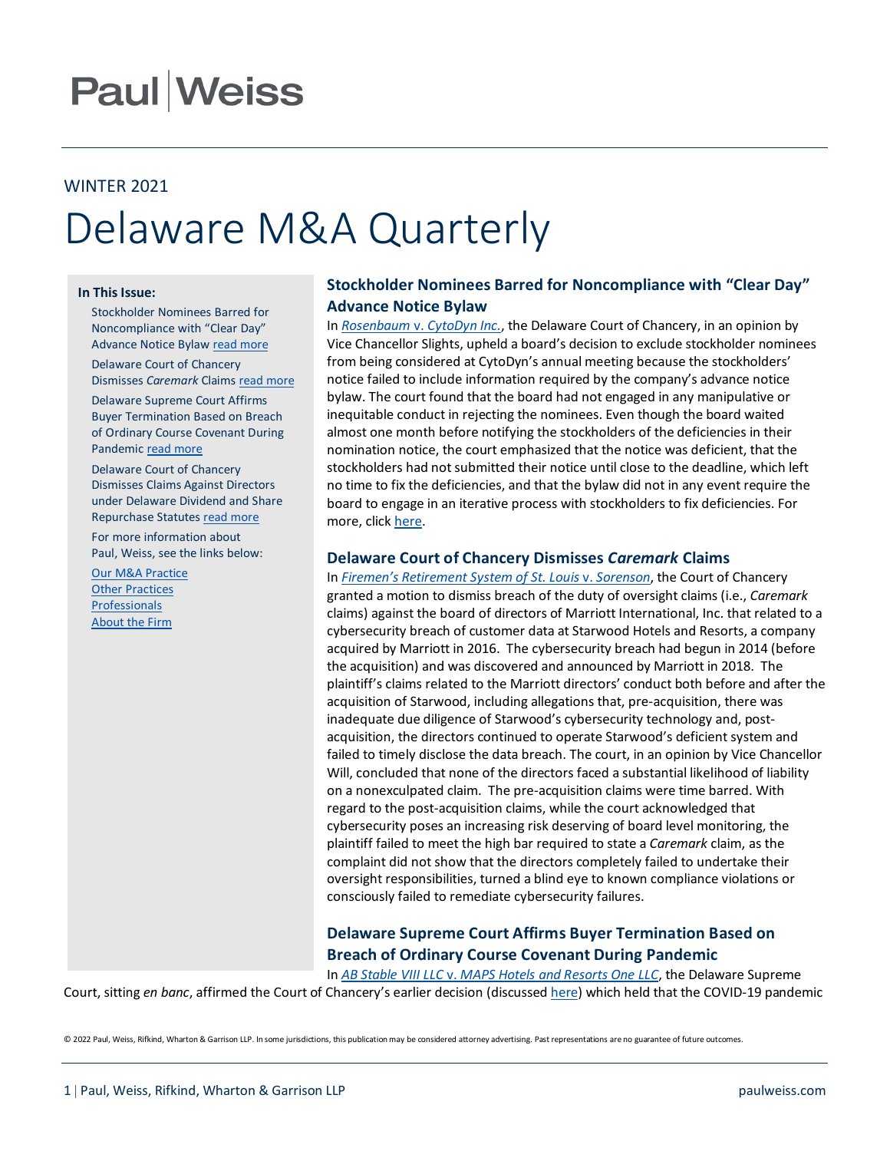# **Paul Weiss**

# WINTER 2021 Delaware M&A Quarterly

#### **In This Issue:**

Stockholder Nominees Barred for Noncompliance with "Clear Day" Advance Notice Bylaw [read more](https://courts.delaware.gov/Opinions/Download.aspx?id=319960)

Delaware Court of Chancery Dismisses *Caremark* Claims read more

Delaware Supreme Court Affirms Buyer Termination Based on Breach of Ordinary Course Covenant During Pandemic [read more](https://courts.delaware.gov/Opinions/Download.aspx?id=320160)

Delaware Court of Chancery Dismisses Claims Against Directors under Delaware Dividend and Share Repurchase Statutes [read more](https://courts.delaware.gov/Opinions/Download.aspx?id=320460)

For more information about Paul, Weiss, see the links below:

[Our M&A Practice](https://www.paulweiss.com/practices/transactional/mergers-acquisitions) **[Other Practices](https://www.paulweiss.com/practices)** [Professionals](https://www.paulweiss.com/professionals) [About the Firm](https://www.paulweiss.com/about-the-firm)

# **Stockholder Nominees Barred for Noncompliance with "Clear Day" Advance Notice Bylaw**

In *Rosenbaum* v. *[CytoDyn Inc.](https://courts.delaware.gov/Opinions/Download.aspx?id=325470)*, the Delaware Court of Chancery, in an opinion by Vice Chancellor Slights, upheld a board's decision to exclude stockholder nominees from being considered at CytoDyn's annual meeting because the stockholders' notice failed to include information required by the company's advance notice bylaw. The court found that the board had not engaged in any manipulative or inequitable conduct in rejecting the nominees. Even though the board waited almost one month before notifying the stockholders of the deficiencies in their nomination notice, the court emphasized that the notice was deficient, that the stockholders had not submitted their notice until close to the deadline, which left no time to fix the deficiencies, and that the bylaw did not in any event require the board to engage in an iterative process with stockholders to fix deficiencies. For more, click [here.](https://www.paulweiss.com/media/3981478/stockholder_nominees_barred_for_noncompliance_with_clear-day_advance_notice_bylaw.pdf)

# **Delaware Court of Chancery Dismisses** *Caremark* **Claims**

In *Firemen's Retirement System [of St. Louis](https://courts.delaware.gov/Opinions/Download.aspx?id=325170)* v. *Sorenson*, the Court of Chancery granted a motion to dismiss breach of the duty of oversight claims (i.e., *Caremark*  claims) against the board of directors of Marriott International, Inc. that related to a cybersecurity breach of customer data at Starwood Hotels and Resorts, a company acquired by Marriott in 2016. The cybersecurity breach had begun in 2014 (before the acquisition) and was discovered and announced by Marriott in 2018. The plaintiff's claims related to the Marriott directors' conduct both before and after the acquisition of Starwood, including allegations that, pre-acquisition, there was inadequate due diligence of Starwood's cybersecurity technology and, postacquisition, the directors continued to operate Starwood's deficient system and failed to timely disclose the data breach. The court, in an opinion by Vice Chancellor Will, concluded that none of the directors faced a substantial likelihood of liability on a nonexculpated claim. The pre-acquisition claims were time barred. With regard to the post-acquisition claims, while the court acknowledged that cybersecurity poses an increasing risk deserving of board level monitoring, the plaintiff failed to meet the high bar required to state a *Caremark* claim, as the complaint did not show that the directors completely failed to undertake their oversight responsibilities, turned a blind eye to known compliance violations or consciously failed to remediate cybersecurity failures.

# **Delaware Supreme Court Affirms Buyer Termination Based on Breach of Ordinary Course Covenant During Pandemic**

In *AB Stable VIII LLC* v. *[MAPS Hotels and Resorts One LLC](https://courts.delaware.gov/Opinions/Download.aspx?id=327380)*, the Delaware Supreme Court, sitting *en banc*, affirmed the Court of Chancery's earlier decision (discussed [here\)](https://www.paulweiss.com/media/3980662/delaware_court_of_chancery_permits_buyer_to_terminate_merger_due_to_target-s_failure_to_operate_in_the_ordinary_course_but_finds_no_mae_due_to_covid-19.pdf) which held that the COVID-19 pandemic

© 2022 Paul, Weiss, Rifkind, Wharton & Garrison LLP. In some jurisdictions, this publication may be considered attorney advertising. Past representations are no guarantee of future outcomes.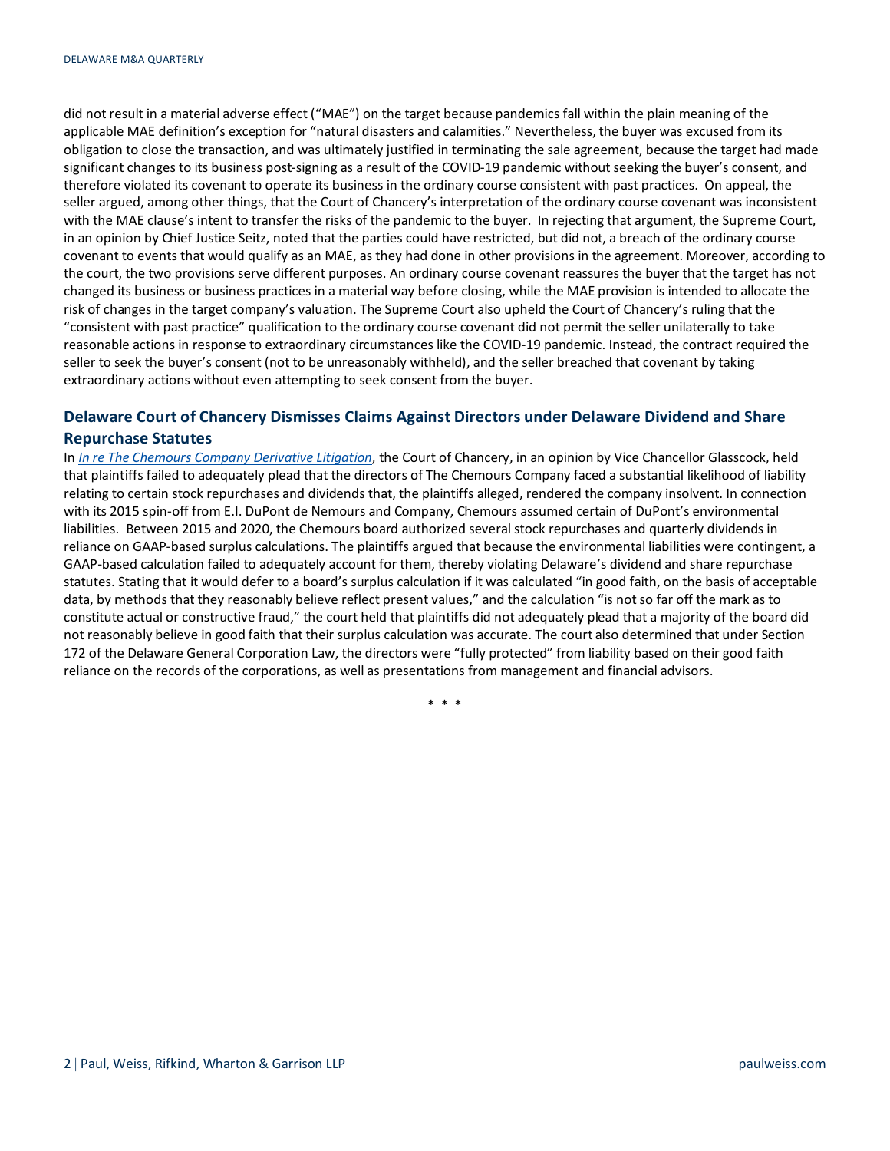did not result in a material adverse effect ("MAE") on the target because pandemics fall within the plain meaning of the applicable MAE definition's exception for "natural disasters and calamities." Nevertheless, the buyer was excused from its obligation to close the transaction, and was ultimately justified in terminating the sale agreement, because the target had made significant changes to its business post-signing as a result of the COVID-19 pandemic without seeking the buyer's consent, and therefore violated its covenant to operate its business in the ordinary course consistent with past practices. On appeal, the seller argued, among other things, that the Court of Chancery's interpretation of the ordinary course covenant was inconsistent with the MAE clause's intent to transfer the risks of the pandemic to the buyer. In rejecting that argument, the Supreme Court, in an opinion by Chief Justice Seitz, noted that the parties could have restricted, but did not, a breach of the ordinary course covenant to events that would qualify as an MAE, as they had done in other provisions in the agreement. Moreover, according to the court, the two provisions serve different purposes. An ordinary course covenant reassures the buyer that the target has not changed its business or business practices in a material way before closing, while the MAE provision is intended to allocate the risk of changes in the target company's valuation. The Supreme Court also upheld the Court of Chancery's ruling that the "consistent with past practice" qualification to the ordinary course covenant did not permit the seller unilaterally to take reasonable actions in response to extraordinary circumstances like the COVID-19 pandemic. Instead, the contract required the seller to seek the buyer's consent (not to be unreasonably withheld), and the seller breached that covenant by taking extraordinary actions without even attempting to seek consent from the buyer.

# **Delaware Court of Chancery Dismisses Claims Against Directors under Delaware Dividend and Share Repurchase Statutes**

In *[In re The Chemours Company Derivative Litigation](https://courts.delaware.gov/Opinions/Download.aspx?id=326030)*, the Court of Chancery, in an opinion by Vice Chancellor Glasscock, held that plaintiffs failed to adequately plead that the directors of The Chemours Company faced a substantial likelihood of liability relating to certain stock repurchases and dividends that, the plaintiffs alleged, rendered the company insolvent. In connection with its 2015 spin-off from E.I. DuPont de Nemours and Company, Chemours assumed certain of DuPont's environmental liabilities. Between 2015 and 2020, the Chemours board authorized several stock repurchases and quarterly dividends in reliance on GAAP-based surplus calculations. The plaintiffs argued that because the environmental liabilities were contingent, a GAAP-based calculation failed to adequately account for them, thereby violating Delaware's dividend and share repurchase statutes. Stating that it would defer to a board's surplus calculation if it was calculated "in good faith, on the basis of acceptable data, by methods that they reasonably believe reflect present values," and the calculation "is not so far off the mark as to constitute actual or constructive fraud," the court held that plaintiffs did not adequately plead that a majority of the board did not reasonably believe in good faith that their surplus calculation was accurate. The court also determined that under Section 172 of the Delaware General Corporation Law, the directors were "fully protected" from liability based on their good faith reliance on the records of the corporations, as well as presentations from management and financial advisors.

\* \* \*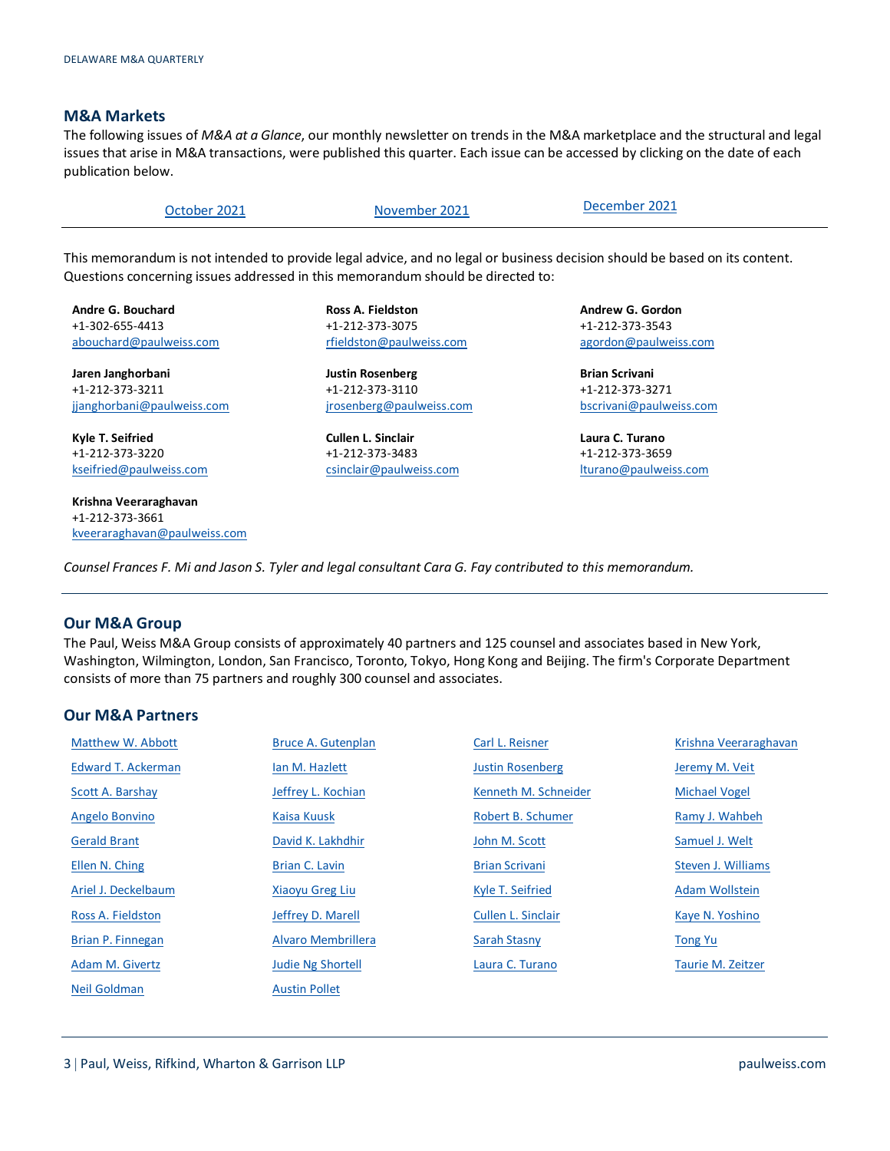## **M&A Markets**

The following issues of *M&A at a Glance*, our monthly newsletter on trends in the M&A marketplace and the structural and legal issues that arise in M&A transactions, were published this quarter. Each issue can be accessed by clicking on the date of each publication below.

| October 2021 | November 2021 | December 2021 |
|--------------|---------------|---------------|
|--------------|---------------|---------------|

This memorandum is not intended to provide legal advice, and no legal or business decision should be based on its content. Questions concerning issues addressed in this memorandum should be directed to:

**Andre G. Bouchard** +1-302-655-4413 [abouchard@paulweiss.com](mailto:abouchard@paulweiss.com)

**Jaren Janghorbani** +1-212-373-3211 [jjanghorbani@paulweiss.com](mailto:jjanghorbani@paulweiss.com)

**Kyle T. Seifried** +1-212-373-3220 [kseifried@paulweiss.com](mailto:kseifried@paulweiss.com)

**Krishna Veeraraghavan** +1-212-373-3661 [kveeraraghavan@paulweiss.com](mailto:kveeraraghavan@paulweiss.com) **Ross A. Fieldston** +1-212-373-3075 [rfieldston@paulweiss.com](mailto:rfieldston@paulweiss.com)

**Justin Rosenberg** +1-212-373-3110 [jrosenberg@paulweiss.com](mailto:jrosenberg@paulweiss.com)

**Cullen L. Sinclair** +1-212-373-3483 [csinclair@paulweiss.com](mailto:csinclair@paulweiss.com) **Andrew G. Gordon** +1-212-373-3543 [agordon@paulweiss.com](mailto:agordon@paulweiss.com)

**Brian Scrivani** +1-212-373-3271 [bscrivani@paulweiss.com](mailto:bscrivani@paulweiss.com)

**Laura C. Turano** +1-212-373-3659 [lturano@paulweiss.com](mailto:lturano@paulweiss.com)

*Counsel Frances F. Mi and Jason S. Tyler and legal consultant Cara G. Fay contributed to this memorandum.*

## **Our M&A Group**

The Paul, Weiss M&A Group consists of approximately 40 partners and 125 counsel and associates based in New York, Washington, Wilmington, London, San Francisco, Toronto, Tokyo, Hong Kong and Beijing. The firm's Corporate Department consists of more than 75 partners and roughly 300 counsel and associates.

# **Our M&A Partners**

| Matthew W. Abbott         | <b>Bruce A. Gutenplan</b> | Carl L. Reisner         | Krishna Veeraraghavan |
|---------------------------|---------------------------|-------------------------|-----------------------|
| <b>Edward T. Ackerman</b> | lan M. Hazlett            | <b>Justin Rosenberg</b> | Jeremy M. Veit        |
| Scott A. Barshay          | Jeffrey L. Kochian        | Kenneth M. Schneider    | <b>Michael Vogel</b>  |
| Angelo Bonvino            | Kaisa Kuusk               | Robert B. Schumer       | Ramy J. Wahbeh        |
| <b>Gerald Brant</b>       | David K. Lakhdhir         | John M. Scott           | Samuel J. Welt        |
| Ellen N. Ching            | Brian C. Lavin            | <b>Brian Scrivani</b>   | Steven J. Williams    |
| Ariel J. Deckelbaum       | <b>Xiaoyu Greg Liu</b>    | Kyle T. Seifried        | Adam Wollstein        |
| Ross A. Fieldston         | Jeffrey D. Marell         | Cullen L. Sinclair      | Kaye N. Yoshino       |
| Brian P. Finnegan         | Alvaro Membrillera        | <b>Sarah Stasny</b>     | <b>Tong Yu</b>        |
| Adam M. Givertz           | <b>Judie Ng Shortell</b>  | Laura C. Turano         | Taurie M. Zeitzer     |
| Neil Goldman              | <b>Austin Pollet</b>      |                         |                       |